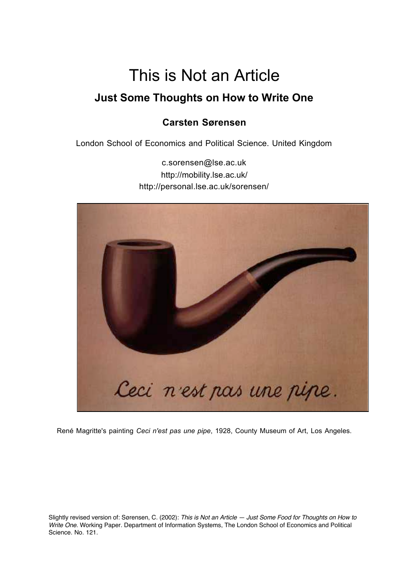# This is Not an Article **Just Some Thoughts on How to Write One**

# **Carsten Sørensen**

London School of Economics and Political Science. United Kingdom

c.sorensen@lse.ac.uk http://mobility.lse.ac.uk/ http://personal.lse.ac.uk/sorensen/



René Magritte's painting *Ceci n'est pas une pipe*, 1928, County Museum of Art, Los Angeles.

Slightly revised version of: Sørensen, C. (2002): This is Not an Article — Just Some Food for Thoughts on How to Write One. Working Paper. Department of Information Systems, The London School of Economics and Political Science. No. 121.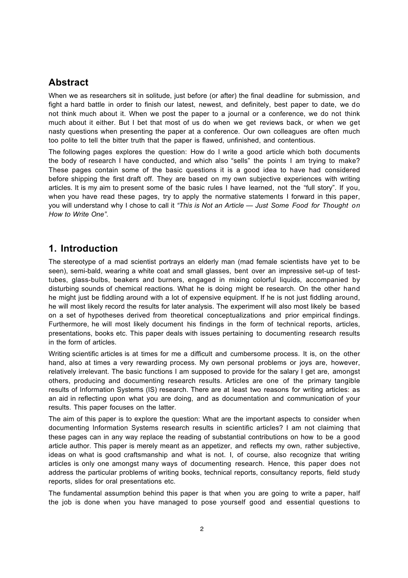## **Abstract**

When we as researchers sit in solitude, just before (or after) the final deadline for submission, and fight a hard battle in order to finish our latest, newest, and definitely, best paper to date, we do not think much about it. When we post the paper to a journal or a conference, we do not think much about it either. But I bet that most of us do when we get reviews back, or when we get nasty questions when presenting the paper at a conference. Our own colleagues are often much too polite to tell the bitter truth that the paper is flawed, unfinished, and contentious.

The following pages explores the question: How do I write a good article which both documents the body of research I have conducted, and which also "sells" the points I am trying to make? These pages contain some of the basic questions it is a good idea to have had considered before shipping the first draft off. They are based on my own subjective experiences with writing articles. It is my aim to present some of the basic rules I have learned, not the "full story". If you, when you have read these pages, try to apply the normative statements I forward in this paper, you will understand why I chose to call it *"This is Not an Article — Just Some Food for Thought on How to Write One"*.

## **1. Introduction**

The stereotype of a mad scientist portrays an elderly man (mad female scientists have yet to be seen), semi-bald, wearing a white coat and small glasses, bent over an impressive set-up of testtubes, glass-bulbs, beakers and burners, engaged in mixing colorful liquids, accompanied by disturbing sounds of chemical reactions. What he is doing might be research. On the other hand he might just be fiddling around with a lot of expensive equipment. If he is not just fiddling around, he will most likely record the results for later analysis. The experiment will also most likely be based on a set of hypotheses derived from theoretical conceptualizations and prior empirical findings. Furthermore, he will most likely document his findings in the form of technical reports, articles, presentations, books etc. This paper deals with issues pertaining to documenting research results in the form of articles.

Writing scientific articles is at times for me a difficult and cumbersome process. It is, on the other hand, also at times a very rewarding process. My own personal problems or joys are, however, relatively irrelevant. The basic functions I am supposed to provide for the salary I get are, amongst others, producing and documenting research results. Articles are one of the primary tangible results of Information Systems (IS) research. There are at least two reasons for writing articles: as an aid in reflecting upon what you are doing, and as documentation and communication of your results. This paper focuses on the latter.

The aim of this paper is to explore the question: What are the important aspects to consider when documenting Information Systems research results in scientific articles? I am not claiming that these pages can in any way replace the reading of substantial contributions on how to be a good article author. This paper is merely meant as an appetizer, and reflects my own, rather subjective, ideas on what is good craftsmanship and what is not. I, of course, also recognize that writing articles is only one amongst many ways of documenting research. Hence, this paper does not address the particular problems of writing books, technical reports, consultancy reports, field study reports, slides for oral presentations etc.

The fundamental assumption behind this paper is that when you are going to write a paper, half the job is done when you have managed to pose yourself good and essential questions to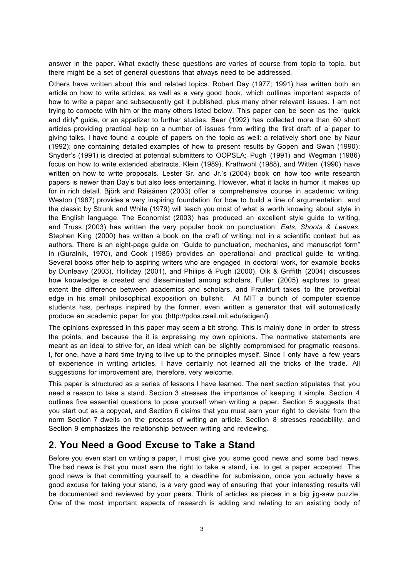answer in the paper. What exactly these questions are varies of course from topic to topic, but there might be a set of general questions that always need to be addressed.

Others have written about this and related topics. Robert Day (1977; 1991) has written both an article on how to write articles, as well as a very good book, which outlines important aspects of how to write a paper and subsequently get it published, plus many other relevant issues. I am not trying to compete with him or the many others listed below. This paper can be seen as the "quick and dirty" guide, or an appetizer to further studies. Beer (1992) has collected more than 60 short articles providing practical help on a number of issues from writing the first draft of a paper to giving talks. I have found a couple of papers on the topic as well: a relatively short one by Naur (1992); one containing detailed examples of how to present results by Gopen and Swan (1990); Snyder's (1991) is directed at potential submitters to OOPSLA; Pugh (1991) and Wegman (1986) focus on how to write extended abstracts. Klein (1989), Krathwohl (1988), and Witten (1990) have written on how to write proposals. Lester Sr. and Jr.'s (2004) book on how too write research papers is newer than Day's but also less entertaining. However, what it lacks in humor it makes up for in rich detail. Björk and Räisänen (2003) offer a comprehensive course in academic writing. Weston (1987) provides a very inspiring foundation for how to build a line of argumentation, and the classic by Strunk and White (1979) will teach you most of what is worth knowing about style in the English language. The Economist (2003) has produced an excellent style guide to writing, and Truss (2003) has written the very popular book on punctuation; *Eats, Shoots & Leaves*. Stephen King (2000) has written a book on the craft of writing, not in a scientific context but as authors. There is an eight-page guide on "Guide to punctuation, mechanics, and manuscript form" in (Guralnik, 1970), and Cook (1985) provides an operational and practical guide to writing. Several books offer help to aspiring writers who are engaged in doctoral work, for example books by Dunleavy (2003), Holliday (2001), and Philips & Pugh (2000). Olk & Griffith (2004) discusses how knowledge is created and disseminated among scholars. Fuller (2005) explores to great extent the difference between academics and scholars, and Frankfurt takes to the proverbial edge in his small philosophical exposition on bullshit. At MIT a bunch of computer science students has, perhaps inspired by the former, even written a generator that will automatically produce an academic paper for you (http://pdos.csail.mit.edu/scigen/).

The opinions expressed in this paper may seem a bit strong. This is mainly done in order to stress the points, and because the it is expressing my own opinions. The normative statements are meant as an ideal to strive for, an ideal which can be slightly compromised for pragmatic reasons. I, for one, have a hard time trying to live up to the principles myself. Since I only have a few years of experience in writing articles, I have certainly not learned all the tricks of the trade. All suggestions for improvement are, therefore, very welcome.

This paper is structured as a series of lessons I have learned. The next section stipulates that you need a reason to take a stand. Section 3 stresses the importance of keeping it simple. Section 4 outlines five essential questions to pose yourself when writing a paper. Section 5 suggests that you start out as a copycat, and Section 6 claims that you must earn your right to deviate from the norm Section 7 dwells on the process of writing an article. Section 8 stresses readability, and Section 9 emphasizes the relationship between writing and reviewing.

## **2. You Need a Good Excuse to Take a Stand**

Before you even start on writing a paper, I must give you some good news and some bad news. The bad news is that you must earn the right to take a stand, i.e. to get a paper accepted. The good news is that committing yourself to a deadline for submission, once you actually have a good excuse for taking your stand, is a very good way of ensuring that your interesting results will be documented and reviewed by your peers. Think of articles as pieces in a big jig-saw puzzle. One of the most important aspects of research is adding and relating to an existing body of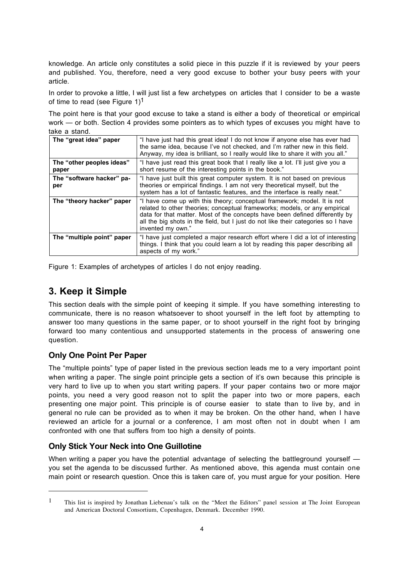knowledge. An article only constitutes a solid piece in this puzzle if it is reviewed by your peers and published. You, therefore, need a very good excuse to bother your busy peers with your article.

In order to provoke a little, I will just list a few archetypes on articles that I consider to be a waste of time to read (see Figure  $1$ )<sup>1</sup>

The point here is that your good excuse to take a stand is either a body of theoretical or empirical work — or both. Section 4 provides some pointers as to which types of excuses you might have to take a stand.

| The "great idea" paper             | "I have just had this great idea! I do not know if anyone else has ever had<br>the same idea, because I've not checked, and I'm rather new in this field.<br>Anyway, my idea is brilliant, so I really would like to share it with you all."                                                                                                    |
|------------------------------------|-------------------------------------------------------------------------------------------------------------------------------------------------------------------------------------------------------------------------------------------------------------------------------------------------------------------------------------------------|
| The "other peoples ideas"<br>paper | "I have just read this great book that I really like a lot. I'll just give you a<br>short resume of the interesting points in the book."                                                                                                                                                                                                        |
| The "software hacker" pa-<br>per   | "I have just built this great computer system. It is not based on previous<br>theories or empirical findings. I am not very theoretical myself, but the<br>system has a lot of fantastic features, and the interface is really neat."                                                                                                           |
| The "theory hacker" paper          | "I have come up with this theory; conceptual framework; model. It is not<br>related to other theories; conceptual frameworks; models, or any empirical<br>data for that matter. Most of the concepts have been defined differently by<br>all the big shots in the field, but I just do not like their categories so I have<br>invented my own." |
| The "multiple point" paper         | "I have just completed a major research effort where I did a lot of interesting<br>things. I think that you could learn a lot by reading this paper describing all<br>aspects of my work."                                                                                                                                                      |

Figure 1: Examples of archetypes of articles I do not enjoy reading.

# **3. Keep it Simple**

This section deals with the simple point of keeping it simple. If you have something interesting to communicate, there is no reason whatsoever to shoot yourself in the left foot by attempting to answer too many questions in the same paper, or to shoot yourself in the right foot by bringing forward too many contentious and unsupported statements in the process of answering one question.

#### **Only One Point Per Paper**

 $\overline{a}$ 

The "multiple points" type of paper listed in the previous section leads me to a very important point when writing a paper. The single point principle gets a section of it's own because this principle is very hard to live up to when you start writing papers. If your paper contains two or more major points, you need a very good reason not to split the paper into two or more papers, each presenting one major point. This principle is of course easier to state than to live by, and in general no rule can be provided as to when it may be broken. On the other hand, when I have reviewed an article for a journal or a conference, I am most often not in doubt when I am confronted with one that suffers from too high a density of points.

## **Only Stick Your Neck into One Guillotine**

When writing a paper you have the potential advantage of selecting the battleground yourself you set the agenda to be discussed further. As mentioned above, this agenda must contain one main point or research question. Once this is taken care of, you must argue for your position. Here

<sup>1</sup> This list is inspired by Jonathan Liebenau's talk on the "Meet the Editors" panel session at The Joint European and American Doctoral Consortium, Copenhagen, Denmark. December 1990.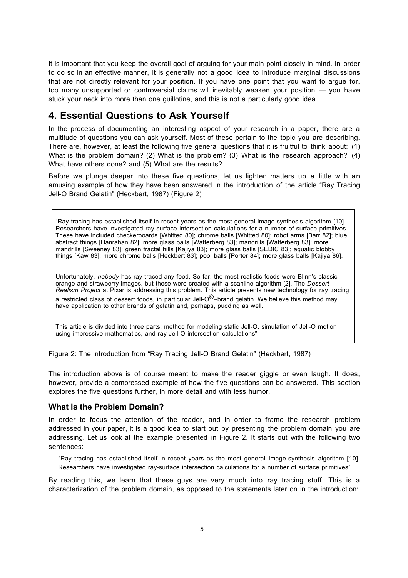it is important that you keep the overall goal of arguing for your main point closely in mind. In order to do so in an effective manner, it is generally not a good idea to introduce marginal discussions that are not directly relevant for your position. If you have one point that you want to argue for, too many unsupported or controversial claims will inevitably weaken your position — you have stuck your neck into more than one guillotine, and this is not a particularly good idea.

# **4. Essential Questions to Ask Yourself**

In the process of documenting an interesting aspect of your research in a paper, there are a multitude of questions you can ask yourself. Most of these pertain to the topic you are describing. There are, however, at least the following five general questions that it is fruitful to think about: (1) What is the problem domain? (2) What is the problem? (3) What is the research approach? (4) What have others done? and (5) What are the results?

Before we plunge deeper into these five questions, let us lighten matters up a little with an amusing example of how they have been answered in the introduction of the article "Ray Tracing Jell-O Brand Gelatin" (Heckbert, 1987) (Figure 2)

"Ray tracing has established itself in recent years as the most general image-synthesis algorithm [10]. Researchers have investigated ray-surface intersection calculations for a number of surface primitives. These have included checkerboards [Whitted 80]; chrome balls [Whitted 80]; robot arms [Barr 82]; blue abstract things [Hanrahan 82]; more glass balls [Watterberg 83]; mandrills [Watterberg 83]; more mandrills [Sweeney 83]; green fractal hills [Kajiya 83]; more glass balls [SEDIC 83]; aquatic blobby things [Kaw 83]; more chrome balls [Heckbert 83]; pool balls [Porter 84]; more glass balls [Kajiya 86].

Unfortunately, *nobody* has ray traced any food. So far, the most realistic foods were Blinn's classic orange and strawberry images, but these were created with a scanline algorithm [2]. The *Dessert Realism Project* at Pixar is addressing this problem. This article presents new technology for ray tracing a restricted class of dessert foods, in particular Jell- $O^{\bigcirc}$ -brand gelatin. We believe this method may have application to other brands of gelatin and, perhaps, pudding as well.

This article is divided into three parts: method for modeling static Jell-O, simulation of Jell-O motion using impressive mathematics, and ray-Jell-O intersection calculations"

Figure 2: The introduction from "Ray Tracing Jell-O Brand Gelatin" (Heckbert, 1987)

The introduction above is of course meant to make the reader giggle or even laugh. It does, however, provide a compressed example of how the five questions can be answered. This section explores the five questions further, in more detail and with less humor.

#### **What is the Problem Domain?**

In order to focus the attention of the reader, and in order to frame the research problem addressed in your paper, it is a good idea to start out by presenting the problem domain you are addressing. Let us look at the example presented in Figure 2. It starts out with the following two sentences:

"Ray tracing has established itself in recent years as the most general image-synthesis algorithm [10]. Researchers have investigated ray-surface intersection calculations for a number of surface primitives"

By reading this, we learn that these guys are very much into ray tracing stuff. This is a characterization of the problem domain, as opposed to the statements later on in the introduction: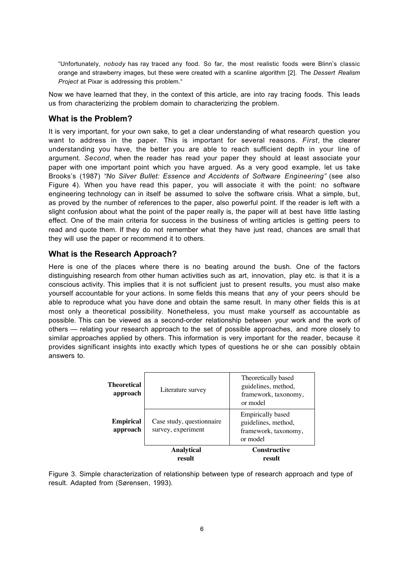"Unfortunately, *nobody* has ray traced any food. So far, the most realistic foods were Blinn's classic orange and strawberry images, but these were created with a scanline algorithm [2]. The *Dessert Realism Project* at Pixar is addressing this problem."

Now we have learned that they, in the context of this article, are into ray tracing foods. This leads us from characterizing the problem domain to characterizing the problem.

#### **What is the Problem?**

It is very important, for your own sake, to get a clear understanding of what research question you want to address in the paper. This is important for several reasons. *First*, the clearer understanding you have, the better you are able to reach sufficient depth in your line of argument. *Second*, when the reader has read your paper they should at least associate your paper with one important point which you have argued. As a very good example, let us take Brooks's (1987) *"No Silver Bullet: Essence and Accidents of Software Engineering"* (see also Figure 4). When you have read this paper, you will associate it with the point: no software engineering technology can in itself be assumed to solve the software crisis. What a simple, but, as proved by the number of references to the paper, also powerful point. If the reader is left with a slight confusion about what the point of the paper really is, the paper will at best have little lasting effect. One of the main criteria for success in the business of writing articles is getting peers to read and quote them. If they do not remember what they have just read, chances are small that they will use the paper or recommend it to others.

#### **What is the Research Approach?**

Here is one of the places where there is no beating around the bush. One of the factors distinguishing research from other human activities such as art, innovation, play etc. is that it is a conscious activity. This implies that it is not sufficient just to present results, you must also make yourself accountable for your actions. In some fields this means that any of your peers should be able to reproduce what you have done and obtain the same result. In many other fields this is at most only a theoretical possibility. Nonetheless, you must make yourself as accountable as possible. This can be viewed as a second-order relationship between your work and the work of others — relating your research approach to the set of possible approaches, and more closely to similar approaches applied by others. This information is very important for the reader, because it provides significant insights into exactly which types of questions he or she can possibly obtain answers to.

| <b>Theoretical</b><br>approach | Literature survey                               | Theoretically based<br>guidelines, method,<br>framework, taxonomy,<br>or model      |
|--------------------------------|-------------------------------------------------|-------------------------------------------------------------------------------------|
| <b>Empirical</b><br>approach   | Case study, questionnaire<br>survey, experiment | <b>Empirically based</b><br>guidelines, method,<br>framework, taxonomy,<br>or model |
|                                | Analytical<br>result                            | <b>Constructive</b><br>result                                                       |

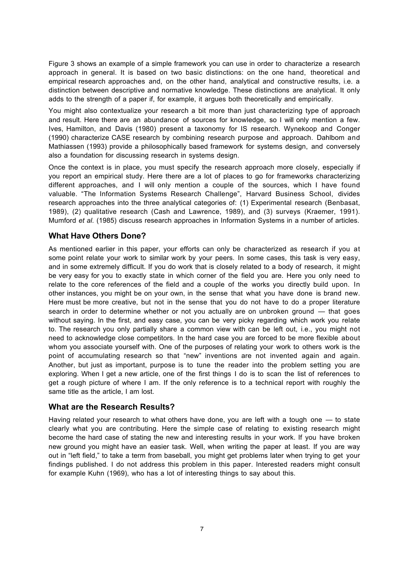Figure 3 shows an example of a simple framework you can use in order to characterize a research approach in general. It is based on two basic distinctions: on the one hand, theoretical and empirical research approaches and, on the other hand, analytical and constructive results, i.e. a distinction between descriptive and normative knowledge. These distinctions are analytical. It only adds to the strength of a paper if, for example, it argues both theoretically and empirically.

You might also contextualize your research a bit more than just characterizing type of approach and result. Here there are an abundance of sources for knowledge, so I will only mention a few. Ives, Hamilton, and Davis (1980) present a taxonomy for IS research. Wynekoop and Conger (1990) characterize CASE research by combining research purpose and approach. Dahlbom and Mathiassen (1993) provide a philosophically based framework for systems design, and conversely also a foundation for discussing research in systems design.

Once the context is in place, you must specify the research approach more closely, especially if you report an empirical study. Here there are a lot of places to go for frameworks characterizing different approaches, and I will only mention a couple of the sources, which I have found valuable. "The Information Systems Research Challenge", Harvard Business School, divides research approaches into the three analytical categories of: (1) Experimental research (Benbasat, 1989), (2) qualitative research (Cash and Lawrence, 1989), and (3) surveys (Kraemer, 1991). Mumford *et al.* (1985) discuss research approaches in Information Systems in a number of articles.

#### **What Have Others Done?**

As mentioned earlier in this paper, your efforts can only be characterized as research if you at some point relate your work to similar work by your peers. In some cases, this task is very easy, and in some extremely difficult. If you do work that is closely related to a body of research, it might be very easy for you to exactly state in which corner of the field you are. Here you only need to relate to the core references of the field and a couple of the works you directly build upon. In other instances, you might be on your own, in the sense that what you have done is brand new. Here must be more creative, but not in the sense that you do not have to do a proper literature search in order to determine whether or not you actually are on unbroken ground - that goes without saying. In the first, and easy case, you can be very picky regarding which work you relate to. The research you only partially share a common view with can be left out, i.e., you might not need to acknowledge close competitors. In the hard case you are forced to be more flexible about whom you associate yourself with. One of the purposes of relating your work to others work is the point of accumulating research so that "new" inventions are not invented again and again. Another, but just as important, purpose is to tune the reader into the problem setting you are exploring. When I get a new article, one of the first things I do is to scan the list of references to get a rough picture of where I am. If the only reference is to a technical report with roughly the same title as the article, I am lost.

#### **What are the Research Results?**

Having related your research to what others have done, you are left with a tough one — to state clearly what you are contributing. Here the simple case of relating to existing research might become the hard case of stating the new and interesting results in your work. If you have broken new ground you might have an easier task. Well, when writing the paper at least. If you are way out in "left field," to take a term from baseball, you might get problems later when trying to get your findings published. I do not address this problem in this paper. Interested readers might consult for example Kuhn (1969), who has a lot of interesting things to say about this.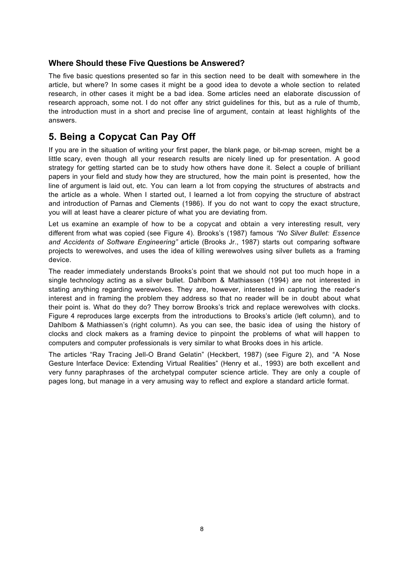#### **Where Should these Five Questions be Answered?**

The five basic questions presented so far in this section need to be dealt with somewhere in the article, but where? In some cases it might be a good idea to devote a whole section to related research, in other cases it might be a bad idea. Some articles need an elaborate discussion of research approach, some not. I do not offer any strict guidelines for this, but as a rule of thumb, the introduction must in a short and precise line of argument, contain at least highlights of the answers.

## **5. Being a Copycat Can Pay Off**

If you are in the situation of writing your first paper, the blank page, or bit-map screen, might be a little scary, even though all your research results are nicely lined up for presentation. A good strategy for getting started can be to study how others have done it. Select a couple of brilliant papers in your field and study how they are structured, how the main point is presented, how the line of argument is laid out, etc. You can learn a lot from copying the structures of abstracts and the article as a whole. When I started out, I learned a lot from copying the structure of abstract and introduction of Parnas and Clements (1986). If you do not want to copy the exact structure, you will at least have a clearer picture of what you are deviating from.

Let us examine an example of how to be a copycat and obtain a very interesting result, very different from what was copied (see Figure 4). Brooks's (1987) famous *"No Silver Bullet: Essence and Accidents of Software Engineering"* article (Brooks Jr., 1987) starts out comparing software projects to werewolves, and uses the idea of killing werewolves using silver bullets as a framing device.

The reader immediately understands Brooks's point that we should not put too much hope in a single technology acting as a silver bullet. Dahlbom & Mathiassen (1994) are not interested in stating anything regarding werewolves. They are, however, interested in capturing the reader's interest and in framing the problem they address so that no reader will be in doubt about what their point is. What do they do? They borrow Brooks's trick and replace werewolves with clocks. Figure 4 reproduces large excerpts from the introductions to Brooks's article (left column), and to Dahlbom & Mathiassen's (right column). As you can see, the basic idea of using the history of clocks and clock makers as a framing device to pinpoint the problems of what will happen to computers and computer professionals is very similar to what Brooks does in his article.

The articles "Ray Tracing Jell-O Brand Gelatin" (Heckbert, 1987) (see Figure 2), and "A Nose Gesture Interface Device: Extending Virtual Realities" (Henry et al., 1993) are both excellent and very funny paraphrases of the archetypal computer science article. They are only a couple of pages long, but manage in a very amusing way to reflect and explore a standard article format.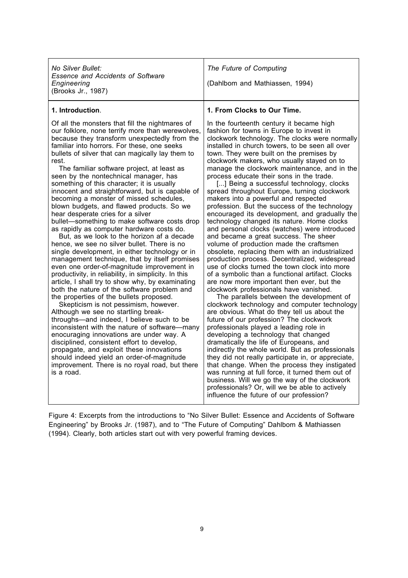*No Silver Bullet: Essence and Accidents of Software Engineering* (Brooks Jr., 1987)

*The Future of Computing*

(Dahlbom and Mathiassen, 1994)

#### **1. Introduction**.

Of all the monsters that fill the nightmares of our folklore, none terrify more than werewolves, because they transform unexpectedly from the familiar into horrors. For these, one seeks bullets of silver that can magically lay them to rest.

The familiar software project, at least as seen by the nontechnical manager, has something of this character; it is usually innocent and straightforward, but is capable of becoming a monster of missed schedules, blown budgets, and flawed products. So we hear desperate cries for a silver bullet—something to make software costs drop as rapidly as computer hardware costs do.

But, as we look to the horizon af a decade hence, we see no silver bullet. There is no single development, in either technology or in management technique, that by itself promises even one order-of-magnitude improvement in productivity, in reliability, in simplicity. In this article, I shall try to show why, by examinating both the nature of the software problem and the properties of the bullets proposed.

Skepticism is not pessimism, however. Although we see no startling breakthroughs—and indeed, I believe such to be inconsistent with the nature of software—many enocuraging innovations are under way. A disciplined, consistent effort to develop, propagate, and exploit these innovations should indeed yield an order-of-magnitude improvement. There is no royal road, but there is a road.

#### **1. From Clocks to Our Time.**

In the fourteenth century it became high fashion for towns in Europe to invest in clockwork technology. The clocks were normally installed in church towers, to be seen all over town. They were built on the premises by clockwork makers, who usually stayed on to manage the clockwork maintenance, and in the process educate their sons in the trade.

[...] Being a successful technology, clocks spread throughout Europe, turning clockwork makers into a powerful and respected profession. But the success of the technology encouraged its development, and gradually the technology changed its nature. Home clocks and personal clocks (watches) were introduced and became a great success. The sheer volume of production made the craftsmen obsolete, replacing them with an industrialized production process. Decentralized, widespread use of clocks turned the town clock into more of a symbolic than a functional artifact. Clocks are now more important then ever, but the clockwork professionals have vanished.

The parallels between the development of clockwork technology and computer technology are obvious. What do they tell us about the future of our profession? The clockwork professionals played a leading role in developing a technology that changed dramatically the life of Europeans, and indirectly the whole world. But as professionals they did not really participate in, or appreciate, that change. When the process they instigated was running at full force, it turned them out of business. Will we go the way of the clockwork professionals? Or, will we be able to actively influence the future of our profession?

Figure 4: Excerpts from the introductions to "No Silver Bullet: Essence and Accidents of Software Engineering" by Brooks Jr. (1987), and to "The Future of Computing" Dahlbom & Mathiassen (1994). Clearly, both articles start out with very powerful framing devices.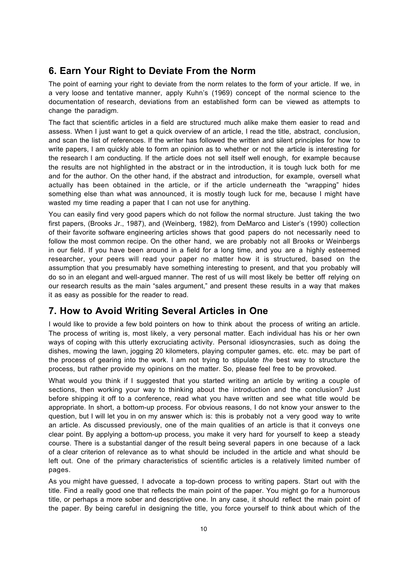# **6. Earn Your Right to Deviate From the Norm**

The point of earning your right to deviate from the norm relates to the form of your article. If we, in a very loose and tentative manner, apply Kuhn's (1969) concept of the normal science to the documentation of research, deviations from an established form can be viewed as attempts to change the paradigm.

The fact that scientific articles in a field are structured much alike make them easier to read and assess. When I just want to get a quick overview of an article, I read the title, abstract, conclusion, and scan the list of references. If the writer has followed the written and silent principles for how to write papers, I am quickly able to form an opinion as to whether or not the article is interesting for the research I am conducting. If the article does not sell itself well enough, for example because the results are not highlighted in the abstract or in the introduction, it is tough luck both for me and for the author. On the other hand, if the abstract and introduction, for example, oversell what actually has been obtained in the article, or if the article underneath the "wrapping" hides something else than what was announced, it is mostly tough luck for me, because I might have wasted my time reading a paper that I can not use for anything.

You can easily find very good papers which do not follow the normal structure. Just taking the two first papers, (Brooks Jr., 1987), and (Weinberg, 1982), from DeMarco and Lister's (1990) collection of their favorite software engineering articles shows that good papers do not necessarily need to follow the most common recipe. On the other hand, we are probably not all Brooks or Weinbergs in our field. If you have been around in a field for a long time, and you are a highly esteemed researcher, your peers will read your paper no matter how it is structured, based on the assumption that you presumably have something interesting to present, and that you probably will do so in an elegant and well-argued manner. The rest of us will most likely be better off relying on our research results as the main "sales argument," and present these results in a way that makes it as easy as possible for the reader to read.

# **7. How to Avoid Writing Several Articles in One**

I would like to provide a few bold pointers on how to think about the process of writing an article. The process of writing is, most likely, a very personal matter. Each individual has his or her own ways of coping with this utterly excruciating activity. Personal idiosyncrasies, such as doing the dishes, mowing the lawn, jogging 20 kilometers, playing computer games, etc. etc. may be part of the process of gearing into the work. I am not trying to stipulate *the* best way to structure the process, but rather provide my opinions on the matter. So, please feel free to be provoked.

What would you think if I suggested that you started writing an article by writing a couple of sections, then working your way to thinking about the introduction and the conclusion? Just before shipping it off to a conference, read what you have written and see what title would be appropriate. In short, a bottom-up process. For obvious reasons, I do not know your answer to the question, but I will let you in on my answer which is: this is probably not a very good way to write an article. As discussed previously, one of the main qualities of an article is that it conveys one clear point. By applying a bottom-up process, you make it very hard for yourself to keep a steady course. There is a substantial danger of the result being several papers in one because of a lack of a clear criterion of relevance as to what should be included in the article and what should be left out. One of the primary characteristics of scientific articles is a relatively limited number of pages.

As you might have guessed, I advocate a top-down process to writing papers. Start out with the title. Find a really good one that reflects the main point of the paper. You might go for a humorous title, or perhaps a more sober and descriptive one. In any case, it should reflect the main point of the paper. By being careful in designing the title, you force yourself to think about which of the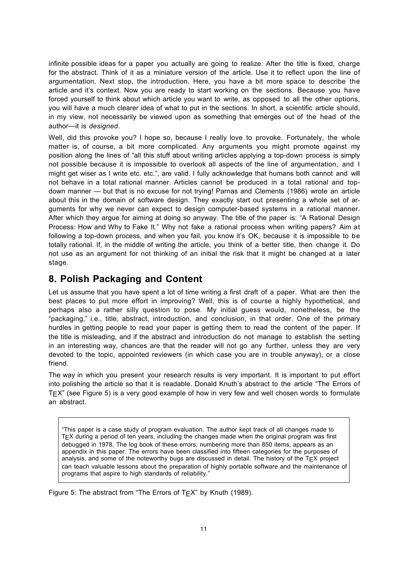infinite possible ideas for a paper you actually are going to realize. After the title is fixed, charge for the abstract. Think of it as a miniature version of the article. Use it to reflect upon the line of argumentation. Next stop, the introduction. Here, you have a bit more space to describe the article and it's context. Now you are ready to start working on the sections. Because you have forced yourself to think about which article you want to write, as opposed to all the other options, you will have a much clearer idea of what to put in the sections. In short, a scientific article should, in my view, not necessarily be viewed upon as something that emerges out of the head of the author—it is *designed*.

Well, did this provoke you? I hope so, because I really love to provoke. Fortunately, the whole matter is, of course, a bit more complicated. Any arguments you might promote against my position along the lines of "all this stuff about writing articles applying a top-down process is simply not possible because it is impossible to overlook all aspects of the line of argumentation, and I might get wiser as I write etc. etc.", are valid. I fully acknowledge that humans both cannot and will not behave in a total rational manner. Articles cannot be produced in a total rational and topdown manner — but that is no excuse for not trying! Parnas and Clements (1986) wrote an article about this in the domain of software design. They exactly start out presenting a whole set of arguments for why we never can expect to design computer-based systems in a rational manner. After which they argue for aiming at doing so anyway. The title of the paper is: "A Rational Design Process: How and Why to Fake It." Why not fake a rational process when writing papers? Aim at following a top-down process, and when you fail, you know it's OK, because it is impossible to be totally rational. If, in the middle of writing the article, you think of a better title, then change it. Do not use as an argument for not thinking of an initial the risk that it might be changed at a later stage.

## **8. Polish Packaging and Content**

Let us assume that you have spent a lot of time writing a first draft of a paper. What are then the best places to put more effort in improving? Well, this is of course a highly hypothetical, and perhaps also a rather silly question to pose. My initial guess would, nonetheless, be the "packaging," i.e., title, abstract, introduction, and conclusion, in that order. One of the primary hurdles in getting people to read your paper is getting them to read the content of the paper. If the title is misleading, and if the abstract and introduction do not manage to establish the setting in an interesting way, chances are that the reader will not go any further, unless they are very devoted to the topic, appointed reviewers (in which case you are in trouble anyway), or a close friend.

The way in which you present your research results is very important. It is important to put effort into polishing the article so that it is readable. Donald Knuth's abstract to the article "The Errors of  $T \in X$ " (see Figure 5) is a very good example of how in very few and well chosen words to formulate an abstract.

"This paper is a case study of program evaluation. The author kept track of all changes made to TEX during a period of ten years, including the changes made when the original program was first debugged in 1978. The log book of these errors, numbering more than 850 items, appears as an appendix in this paper. The errors have been classified into fifteen categories for the purposes of analysis, and some of the noteworthy bugs are discussed in detail. The history of the  $T_{E}X$  project can teach valuable lessons about the preparation of highly portable software and the maintenance of programs that aspire to high standards of reliability."

Figure 5: The abstract from "The Errors of  $T_{\text{F}}X$ " by Knuth (1989).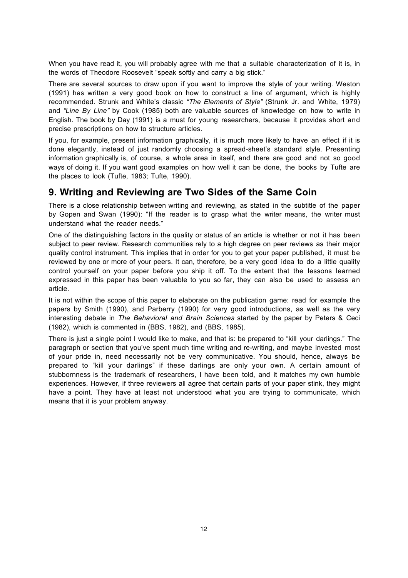When you have read it, you will probably agree with me that a suitable characterization of it is, in the words of Theodore Roosevelt "speak softly and carry a big stick."

There are several sources to draw upon if you want to improve the style of your writing. Weston (1991) has written a very good book on how to construct a line of argument, which is highly recommended. Strunk and White's classic *"The Elements of Style"* (Strunk Jr. and White, 1979) and *"Line By Line"* by Cook (1985) both are valuable sources of knowledge on how to write in English. The book by Day (1991) is a must for young researchers, because it provides short and precise prescriptions on how to structure articles.

If you, for example, present information graphically, it is much more likely to have an effect if it is done elegantly, instead of just randomly choosing a spread-sheet's standard style. Presenting information graphically is, of course, a whole area in itself, and there are good and not so good ways of doing it. If you want good examples on how well it can be done, the books by Tufte are the places to look (Tufte, 1983; Tufte, 1990).

## **9. Writing and Reviewing are Two Sides of the Same Coin**

There is a close relationship between writing and reviewing, as stated in the subtitle of the paper by Gopen and Swan (1990): "If the reader is to grasp what the writer means, the writer must understand what the reader needs."

One of the distinguishing factors in the quality or status of an article is whether or not it has been subject to peer review. Research communities rely to a high degree on peer reviews as their major quality control instrument. This implies that in order for you to get your paper published, it must be reviewed by one or more of your peers. It can, therefore, be a very good idea to do a little quality control yourself on your paper before you ship it off. To the extent that the lessons learned expressed in this paper has been valuable to you so far, they can also be used to assess an article.

It is not within the scope of this paper to elaborate on the publication game: read for example the papers by Smith (1990), and Parberry (1990) for very good introductions, as well as the very interesting debate in *The Behavioral and Brain Sciences* started by the paper by Peters & Ceci (1982), which is commented in (BBS, 1982), and (BBS, 1985).

There is just a single point I would like to make, and that is: be prepared to "kill your darlings." The paragraph or section that you've spent much time writing and re-writing, and maybe invested most of your pride in, need necessarily not be very communicative. You should, hence, always be prepared to "kill your darlings" if these darlings are only your own. A certain amount of stubbornness is the trademark of researchers, I have been told, and it matches my own humble experiences. However, if three reviewers all agree that certain parts of your paper stink, they might have a point. They have at least not understood what you are trying to communicate, which means that it is your problem anyway.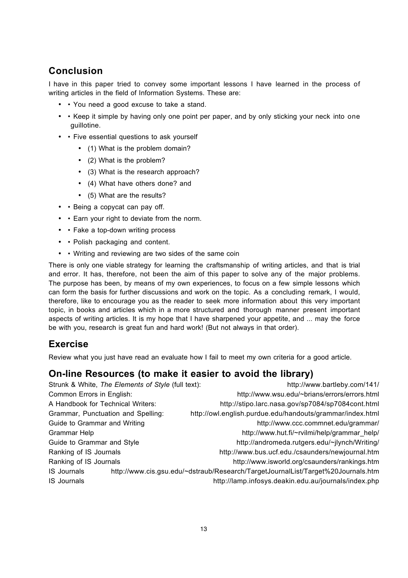# **Conclusion**

I have in this paper tried to convey some important lessons I have learned in the process of writing articles in the field of Information Systems. These are:

- • You need a good excuse to take a stand.
- • Keep it simple by having only one point per paper, and by only sticking your neck into one guillotine.
- • Five essential questions to ask yourself
	- (1) What is the problem domain?
	- (2) What is the problem?
	- (3) What is the research approach?
	- (4) What have others done? and
	- (5) What are the results?
- • Being a copycat can pay off.
- • Earn your right to deviate from the norm.
- • Fake a top-down writing process
- • Polish packaging and content.
- • Writing and reviewing are two sides of the same coin

There is only one viable strategy for learning the craftsmanship of writing articles, and that is trial and error. It has, therefore, not been the aim of this paper to solve any of the major problems. The purpose has been, by means of my own experiences, to focus on a few simple lessons which can form the basis for further discussions and work on the topic. As a concluding remark, I would, therefore, like to encourage you as the reader to seek more information about this very important topic, in books and articles which in a more structured and thorough manner present important aspects of writing articles. It is my hope that I have sharpened your appetite, and ... may the force be with you, research is great fun and hard work! (But not always in that order).

# **Exercise**

Review what you just have read an evaluate how I fail to meet my own criteria for a good article.

## **On-line Resources (to make it easier to avoid the library)**

|                                    | Strunk & White, The Elements of Style (full text): | http://www.bartleby.com/141/                                                     |
|------------------------------------|----------------------------------------------------|----------------------------------------------------------------------------------|
| Common Errors in English:          |                                                    | http://www.wsu.edu/~brians/errors/errors.html                                    |
| A Handbook for Technical Writers:  |                                                    | http://stipo.larc.nasa.gov/sp7084/sp7084cont.html                                |
| Grammar, Punctuation and Spelling: |                                                    | http://owl.english.purdue.edu/handouts/grammar/index.html                        |
| Guide to Grammar and Writing       |                                                    | http://www.ccc.commnet.edu/grammar/                                              |
| Grammar Help                       |                                                    | http://www.hut.fi/~rvilmi/help/grammar help/                                     |
| Guide to Grammar and Style         |                                                    | http://andromeda.rutgers.edu/~jlynch/Writing/                                    |
| Ranking of IS Journals             |                                                    | http://www.bus.ucf.edu./csaunders/newjournal.htm                                 |
| Ranking of IS Journals             |                                                    | http://www.isworld.org/csaunders/rankings.htm                                    |
| <b>IS Journals</b>                 |                                                    | http://www.cis.gsu.edu/~dstraub/Research/TargetJournalList/Target%20Journals.htm |
| <b>IS Journals</b>                 |                                                    | http://lamp.infosys.deakin.edu.au/journals/index.php                             |
|                                    |                                                    |                                                                                  |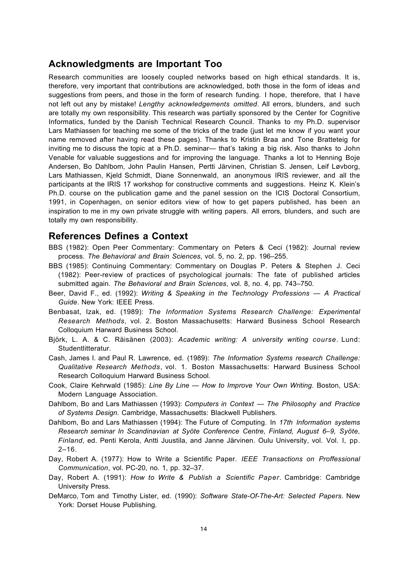#### **Acknowledgments are Important Too**

Research communities are loosely coupled networks based on high ethical standards. It is, therefore, very important that contributions are acknowledged, both those in the form of ideas and suggestions from peers, and those in the form of research funding. I hope, therefore, that I have not left out any by mistake! *Lengthy acknowledgements omitted*. All errors, blunders, and such are totally my own responsibility. This research was partially sponsored by the Center for Cognitive Informatics, funded by the Danish Technical Research Council. Thanks to my Ph.D. supervisor Lars Mathiassen for teaching me some of the tricks of the trade (just let me know if you want your name removed after having read these pages). Thanks to Kristin Braa and Tone Bratteteig for inviting me to discuss the topic at a Ph.D. seminar— that's taking a big risk. Also thanks to John Venable for valuable suggestions and for improving the language. Thanks a lot to Henning Boje Andersen, Bo Dahlbom, John Paulin Hansen, Pertti Järvinen, Christian S. Jensen, Leif Løvborg, Lars Mathiassen, Kjeld Schmidt, Diane Sonnenwald, an anonymous IRIS reviewer, and all the participants at the IRIS 17 workshop for constructive comments and suggestions. Heinz K. Klein's Ph.D. course on the publication game and the panel session on the ICIS Doctoral Consortium, 1991, in Copenhagen, on senior editors view of how to get papers published, has been an inspiration to me in my own private struggle with writing papers. All errors, blunders, and such are totally my own responsibility.

#### **References Defines a Context**

- BBS (1982): Open Peer Commentary: Commentary on Peters & Ceci (1982): Journal review process. *The Behavioral and Brain Sciences*, vol. 5, no. 2, pp. 196–255.
- BBS (1985): Continuing Commentary: Commentary on Douglas P. Peters & Stephen J. Ceci (1982): Peer-review of practices of psychological journals: The fate of published articles submitted again. *The Behavioral and Brain Sciences*, vol. 8, no. 4, pp. 743–750.
- Beer, David F., ed. (1992): *Writing & Speaking in the Technology Professions A Practical Guide*. New York: IEEE Press.
- Benbasat, Izak, ed. (1989): *The Information Systems Research Challenge: Experimental Research Methods*, vol. 2. Boston Massachusetts: Harward Business School Research Colloquium Harward Business School.
- Björk, L. A. & C. Räisänen (2003): *Academic writing: A university writing course*. Lund: Studentlitteratur.
- Cash, James I. and Paul R. Lawrence, ed. (1989): *The Information Systems research Challenge: Qualitative Research Methods*, vol. 1. Boston Massachusetts: Harward Business School Research Colloquium Harward Business School.
- Cook, Claire Kehrwald (1985): *Line By Line How to Improve Your Own Writing*. Boston, USA: Modern Language Association.
- Dahlbom, Bo and Lars Mathiassen (1993): *Computers in Context The Philosophy and Practice of Systems Design*. Cambridge, Massachusetts: Blackwell Publishers.
- Dahlbom, Bo and Lars Mathiassen (1994): The Future of Computing. In *17th Information systems Research seminar In Scandinavian at Syöte Conference Centre, Finland, August 6–9, Syöte, Finland*, ed. Penti Kerola, Antti Juustila, and Janne Järvinen. Oulu University, vol. Vol. I, pp.  $2 - 16$ .
- Day, Robert A. (1977): How to Write a Scientific Paper. *IEEE Transactions on Proffessional Communication*, vol. PC-20, no. 1, pp. 32–37.
- Day, Robert A. (1991): *How to Write & Publish a Scientific Paper*. Cambridge: Cambridge University Press.
- DeMarco, Tom and Timothy Lister, ed. (1990): *Software State-Of-The-Art: Selected Papers*. New York: Dorset House Publishing.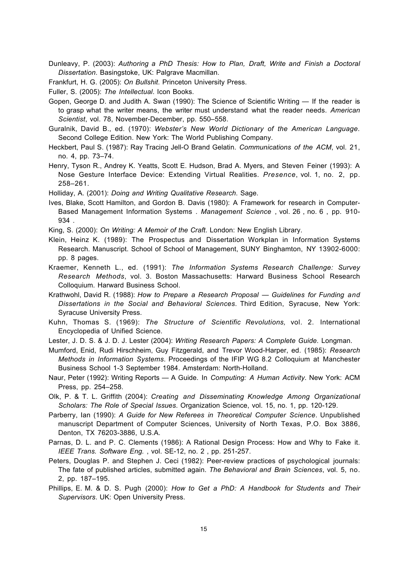Dunleavy, P. (2003): *Authoring a PhD Thesis: How to Plan, Draft, Write and Finish a Doctoral Dissertation*. Basingstoke, UK: Palgrave Macmillan.

Frankfurt, H. G. (2005): *On Bullshit*. Princeton University Press.

Fuller, S. (2005): *The Intellectual*. Icon Books.

Gopen, George D. and Judith A. Swan (1990): The Science of Scientific Writing — If the reader is to grasp what the writer means, the writer must understand what the reader needs. *American Scientist*, vol. 78, November-December, pp. 550–558.

Guralnik, David B., ed. (1970): *Webster's New World Dictionary of the American Language*. Second College Edition. New York: The World Publishing Company.

Heckbert, Paul S. (1987): Ray Tracing Jell-O Brand Gelatin. *Communications of the ACM*, vol. 21, no. 4, pp. 73–74.

Henry, Tyson R., Andrey K. Yeatts, Scott E. Hudson, Brad A. Myers, and Steven Feiner (1993): A Nose Gesture Interface Device: Extending Virtual Realities. *Presence*, vol. 1, no. 2, pp. 258–261.

Holliday, A. (2001): *Doing and Writing Qualitative Research*. Sage.

Ives, Blake, Scott Hamilton, and Gordon B. Davis (1980): A Framework for research in Computer-Based Management Information Systems . *Management Science* , vol. 26 , no. 6 , pp. 910- 934 .

King, S. (2000): *On Writing: A Memoir of the Craft*. London: New English Library.

Klein, Heinz K. (1989): The Prospectus and Dissertation Workplan in Information Systems Research. Manuscript. School of School of Management, SUNY Binghamton, NY 13902-6000: pp. 8 pages.

Kraemer, Kenneth L., ed. (1991): *The Information Systems Research Challenge: Survey Research Methods*, vol. 3. Boston Massachusetts: Harward Business School Research Colloquium. Harward Business School.

Krathwohl, David R. (1988): *How to Prepare a Research Proposal — Guidelines for Funding and Dissertations in the Social and Behavioral Sciences*. Third Edition, Syracuse, New York: Syracuse University Press.

Kuhn, Thomas S. (1969): *The Structure of Scientific Revolutions,* vol. 2. International Encyclopedia of Unified Science.

Lester, J. D. S. & J. D. J. Lester (2004): *Writing Research Papers: A Complete Guide*. Longman.

Mumford, Enid, Rudi Hirschheim, Guy Fitzgerald, and Trevor Wood-Harper, ed. (1985): *Research Methods in Information Systems*. Proceedings of the IFIP WG 8.2 Colloquium at Manchester Business School 1-3 September 1984. Amsterdam: North-Holland.

Naur, Peter (1992): Writing Reports — A Guide. In *Computing: A Human Activity*. New York: ACM Press, pp. 254–258.

Olk, P. & T. L. Griffith (2004): *Creating and Disseminating Knowledge Among Organizational Scholars: The Role of Special Issues*. Organization Science, vol. 15, no. 1, pp. 120-129.

Parberry, Ian (1990): *A Guide for New Referees in Theoretical Computer Science*. Unpublished manuscript Department of Computer Sciences, University of North Texas, P.O. Box 3886, Denton, TX 76203-3886, U.S.A.

Parnas, D. L. and P. C. Clements (1986): A Rational Design Process: How and Why to Fake it. *IEEE Trans. Software Eng.* , vol. SE-12, no. 2 , pp. 251-257.

Peters, Douglas P. and Stephen J. Ceci (1982): Peer-review practices of psychological journals: The fate of published articles, submitted again. *The Behavioral and Brain Sciences*, vol. 5, no. 2, pp. 187–195.

Phillips, E. M. & D. S. Pugh (2000): *How to Get a PhD: A Handbook for Students and Their Supervisors*. UK: Open University Press.